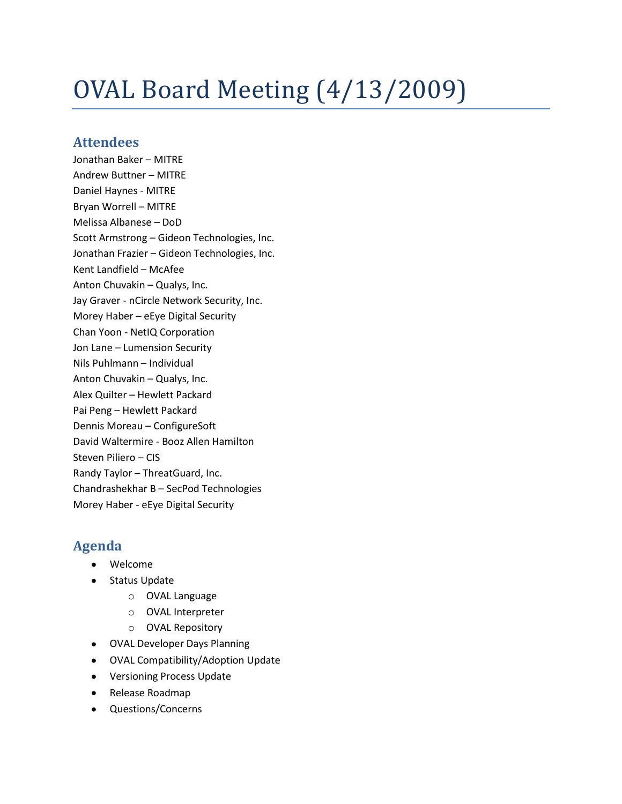# OVAL Board Meeting (4/13/2009)

## **Attendees**

Jonathan Baker – MITRE Andrew Buttner – MITRE Daniel Haynes - MITRE Bryan Worrell – MITRE Melissa Albanese – DoD Scott Armstrong – Gideon Technologies, Inc. Jonathan Frazier – Gideon Technologies, Inc. Kent Landfield – McAfee Anton Chuvakin – Qualys, Inc. Jay Graver - nCircle Network Security, Inc. Morey Haber – eEye Digital Security Chan Yoon - NetIQ Corporation Jon Lane – Lumension Security Nils Puhlmann – Individual Anton Chuvakin – Qualys, Inc. Alex Quilter – Hewlett Packard Pai Peng – Hewlett Packard Dennis Moreau – ConfigureSoft David Waltermire - Booz Allen Hamilton Steven Piliero – CIS Randy Taylor – ThreatGuard, Inc. Chandrashekhar B – SecPod Technologies Morey Haber - eEye Digital Security

# **Agenda**

- Welcome
- Status Update
	- o OVAL Language
	- o OVAL Interpreter
	- o OVAL Repository
- OVAL Developer Days Planning
- OVAL Compatibility/Adoption Update
- Versioning Process Update
- Release Roadmap
- Questions/Concerns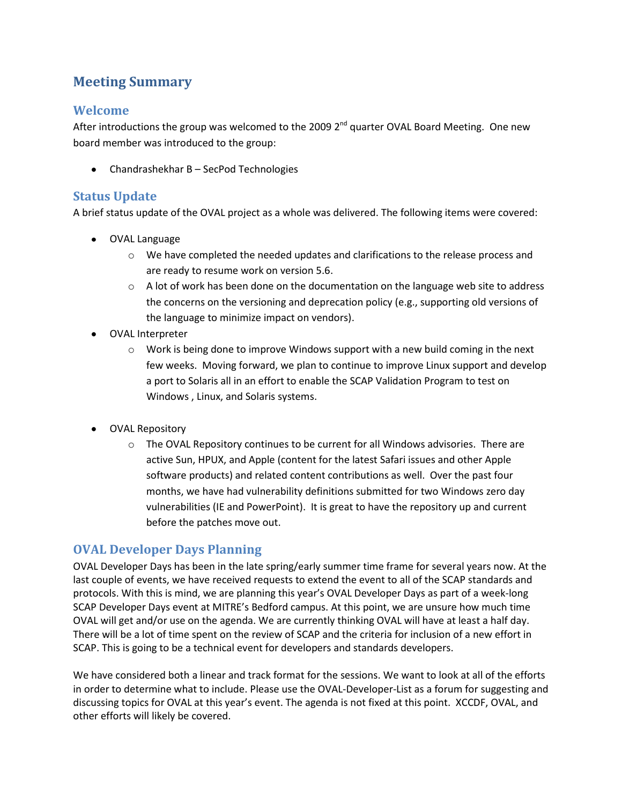# **Meeting Summary**

## **Welcome**

After introductions the group was welcomed to the 2009 2<sup>nd</sup> quarter OVAL Board Meeting. One new board member was introduced to the group:

Chandrashekhar B – SecPod Technologies

### **Status Update**

A brief status update of the OVAL project as a whole was delivered. The following items were covered:

- OVAL Language
	- o We have completed the needed updates and clarifications to the release process and are ready to resume work on version 5.6.
	- $\circ$  A lot of work has been done on the documentation on the language web site to address the concerns on the versioning and deprecation policy (e.g., supporting old versions of the language to minimize impact on vendors).
- OVAL Interpreter
	- $\circ$  Work is being done to improve Windows support with a new build coming in the next few weeks. Moving forward, we plan to continue to improve Linux support and develop a port to Solaris all in an effort to enable the SCAP Validation Program to test on Windows , Linux, and Solaris systems.
- OVAL Repository
	- $\circ$  The OVAL Repository continues to be current for all Windows advisories. There are active Sun, HPUX, and Apple (content for the latest Safari issues and other Apple software products) and related content contributions as well. Over the past four months, we have had vulnerability definitions submitted for two Windows zero day vulnerabilities (IE and PowerPoint). It is great to have the repository up and current before the patches move out.

### **OVAL Developer Days Planning**

OVAL Developer Days has been in the late spring/early summer time frame for several years now. At the last couple of events, we have received requests to extend the event to all of the SCAP standards and protocols. With this is mind, we are planning this year's OVAL Developer Days as part of a week-long SCAP Developer Days event at MITRE's Bedford campus. At this point, we are unsure how much time OVAL will get and/or use on the agenda. We are currently thinking OVAL will have at least a half day. There will be a lot of time spent on the review of SCAP and the criteria for inclusion of a new effort in SCAP. This is going to be a technical event for developers and standards developers.

We have considered both a linear and track format for the sessions. We want to look at all of the efforts in order to determine what to include. Please use the OVAL-Developer-List as a forum for suggesting and discussing topics for OVAL at this year's event. The agenda is not fixed at this point. XCCDF, OVAL, and other efforts will likely be covered.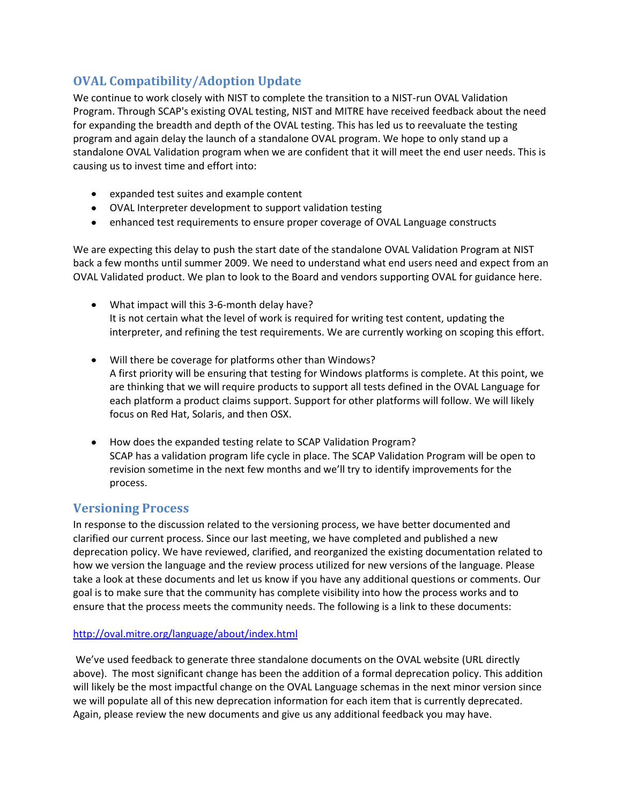# **OVAL Compatibility/Adoption Update**

We continue to work closely with NIST to complete the transition to a NIST-run OVAL Validation Program. Through SCAP's existing OVAL testing, NIST and MITRE have received feedback about the need for expanding the breadth and depth of the OVAL testing. This has led us to reevaluate the testing program and again delay the launch of a standalone OVAL program. We hope to only stand up a standalone OVAL Validation program when we are confident that it will meet the end user needs. This is causing us to invest time and effort into:

- expanded test suites and example content
- OVAL Interpreter development to support validation testing
- enhanced test requirements to ensure proper coverage of OVAL Language constructs

We are expecting this delay to push the start date of the standalone OVAL Validation Program at NIST back a few months until summer 2009. We need to understand what end users need and expect from an OVAL Validated product. We plan to look to the Board and vendors supporting OVAL for guidance here.

- What impact will this 3-6-month delay have? It is not certain what the level of work is required for writing test content, updating the interpreter, and refining the test requirements. We are currently working on scoping this effort.
- Will there be coverage for platforms other than Windows? A first priority will be ensuring that testing for Windows platforms is complete. At this point, we are thinking that we will require products to support all tests defined in the OVAL Language for each platform a product claims support. Support for other platforms will follow. We will likely focus on Red Hat, Solaris, and then OSX.
- How does the expanded testing relate to SCAP Validation Program? SCAP has a validation program life cycle in place. The SCAP Validation Program will be open to revision sometime in the next few months and we'll try to identify improvements for the process.

## **Versioning Process**

In response to the discussion related to the versioning process, we have better documented and clarified our current process. Since our last meeting, we have completed and published a new deprecation policy. We have reviewed, clarified, and reorganized the existing documentation related to how we version the language and the review process utilized for new versions of the language. Please take a look at these documents and let us know if you have any additional questions or comments. Our goal is to make sure that the community has complete visibility into how the process works and to ensure that the process meets the community needs. The following is a link to these documents:

#### <http://oval.mitre.org/language/about/index.html>

We've used feedback to generate three standalone documents on the OVAL website (URL directly above). The most significant change has been the addition of a formal deprecation policy. This addition will likely be the most impactful change on the OVAL Language schemas in the next minor version since we will populate all of this new deprecation information for each item that is currently deprecated. Again, please review the new documents and give us any additional feedback you may have.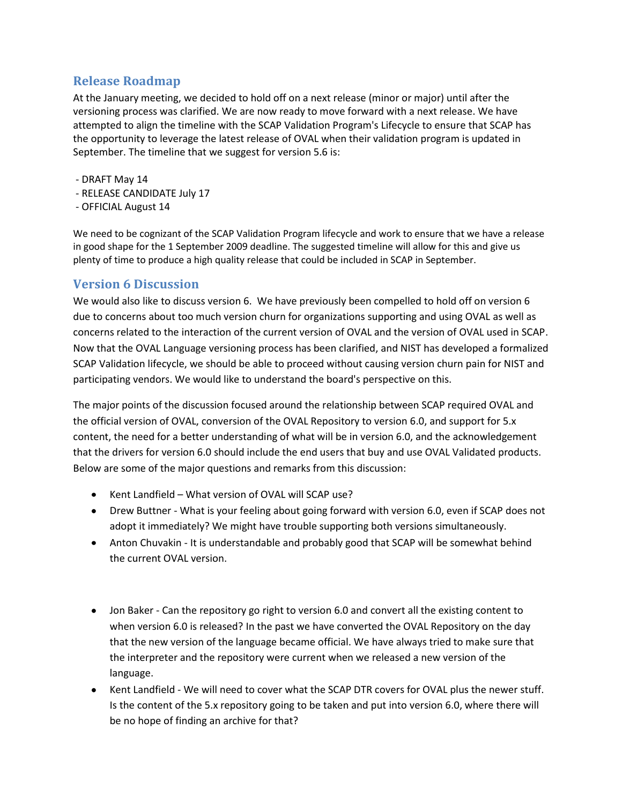## **Release Roadmap**

At the January meeting, we decided to hold off on a next release (minor or major) until after the versioning process was clarified. We are now ready to move forward with a next release. We have attempted to align the timeline with the SCAP Validation Program's Lifecycle to ensure that SCAP has the opportunity to leverage the latest release of OVAL when their validation program is updated in September. The timeline that we suggest for version 5.6 is:

- DRAFT May 14
- RELEASE CANDIDATE July 17
- OFFICIAL August 14

We need to be cognizant of the SCAP Validation Program lifecycle and work to ensure that we have a release in good shape for the 1 September 2009 deadline. The suggested timeline will allow for this and give us plenty of time to produce a high quality release that could be included in SCAP in September.

### **Version 6 Discussion**

We would also like to discuss version 6. We have previously been compelled to hold off on version 6 due to concerns about too much version churn for organizations supporting and using OVAL as well as concerns related to the interaction of the current version of OVAL and the version of OVAL used in SCAP. Now that the OVAL Language versioning process has been clarified, and NIST has developed a formalized SCAP Validation lifecycle, we should be able to proceed without causing version churn pain for NIST and participating vendors. We would like to understand the board's perspective on this.

The major points of the discussion focused around the relationship between SCAP required OVAL and the official version of OVAL, conversion of the OVAL Repository to version 6.0, and support for 5.x content, the need for a better understanding of what will be in version 6.0, and the acknowledgement that the drivers for version 6.0 should include the end users that buy and use OVAL Validated products. Below are some of the major questions and remarks from this discussion:

- Kent Landfield What version of OVAL will SCAP use?
- Drew Buttner What is your feeling about going forward with version 6.0, even if SCAP does not  $\bullet$ adopt it immediately? We might have trouble supporting both versions simultaneously.
- Anton Chuvakin It is understandable and probably good that SCAP will be somewhat behind the current OVAL version.
- Jon Baker Can the repository go right to version 6.0 and convert all the existing content to when version 6.0 is released? In the past we have converted the OVAL Repository on the day that the new version of the language became official. We have always tried to make sure that the interpreter and the repository were current when we released a new version of the language.
- Kent Landfield We will need to cover what the SCAP DTR covers for OVAL plus the newer stuff. Is the content of the 5.x repository going to be taken and put into version 6.0, where there will be no hope of finding an archive for that?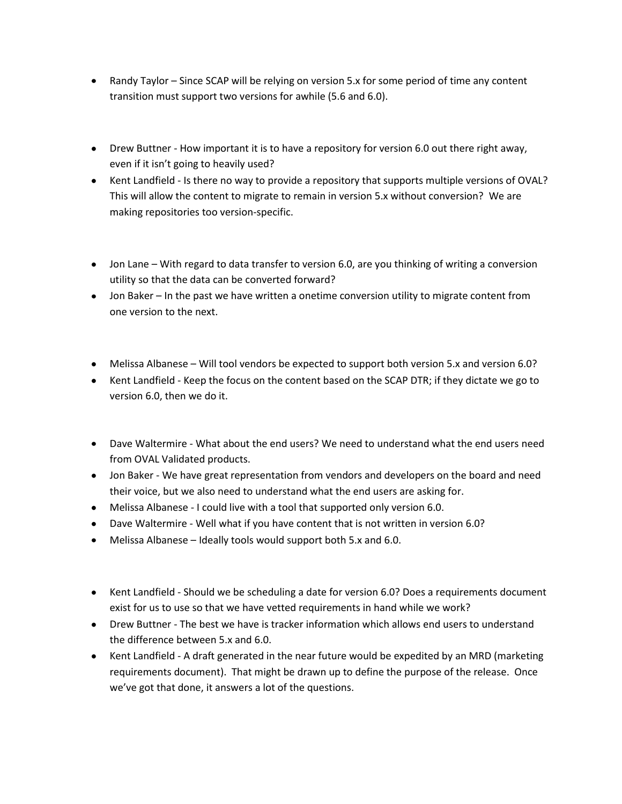- Randy Taylor Since SCAP will be relying on version 5.x for some period of time any content transition must support two versions for awhile (5.6 and 6.0).
- Drew Buttner How important it is to have a repository for version 6.0 out there right away, even if it isn't going to heavily used?
- Kent Landfield Is there no way to provide a repository that supports multiple versions of OVAL? This will allow the content to migrate to remain in version 5.x without conversion? We are making repositories too version-specific.
- Jon Lane With regard to data transfer to version 6.0, are you thinking of writing a conversion utility so that the data can be converted forward?
- Jon Baker In the past we have written a onetime conversion utility to migrate content from one version to the next.
- Melissa Albanese Will tool vendors be expected to support both version 5.x and version 6.0?
- Kent Landfield Keep the focus on the content based on the SCAP DTR; if they dictate we go to version 6.0, then we do it.
- Dave Waltermire What about the end users? We need to understand what the end users need from OVAL Validated products.
- Jon Baker We have great representation from vendors and developers on the board and need their voice, but we also need to understand what the end users are asking for.
- Melissa Albanese I could live with a tool that supported only version 6.0.
- Dave Waltermire Well what if you have content that is not written in version 6.0?
- Melissa Albanese Ideally tools would support both 5.x and 6.0.  $\bullet$
- Kent Landfield Should we be scheduling a date for version 6.0? Does a requirements document exist for us to use so that we have vetted requirements in hand while we work?
- Drew Buttner The best we have is tracker information which allows end users to understand the difference between 5.x and 6.0.
- Kent Landfield A draft generated in the near future would be expedited by an MRD (marketing requirements document). That might be drawn up to define the purpose of the release. Once we've got that done, it answers a lot of the questions.